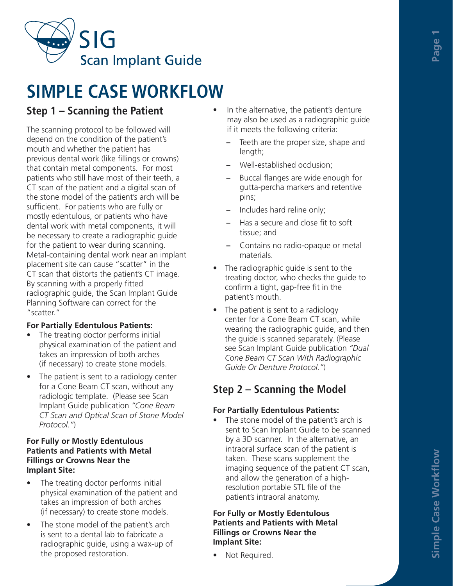

# **SIMPLE CASE WORKFLOW**

# **Step 1 – Scanning the Patient**

The scanning protocol to be followed will depend on the condition of the patient's mouth and whether the patient has previous dental work (like fillings or crowns) that contain metal components. For most patients who still have most of their teeth, a CT scan of the patient and a digital scan of the stone model of the patient's arch will be sufficient. For patients who are fully or mostly edentulous, or patients who have dental work with metal components, it will be necessary to create a radiographic guide for the patient to wear during scanning. Metal-containing dental work near an implant placement site can cause "scatter" in the CT scan that distorts the patient's CT image. By scanning with a properly fitted radiographic guide, the Scan Implant Guide Planning Software can correct for the "scatter."

#### **For Partially Edentulous Patients:**

- The treating doctor performs initial physical examination of the patient and takes an impression of both arches (if necessary) to create stone models.
- The patient is sent to a radiology center for a Cone Beam CT scan, without any radiologic template. (Please see Scan Implant Guide publication *"Cone Beam CT Scan and Optical Scan of Stone Model Protocol."*)

#### **For Fully or Mostly Edentulous Patients and Patients with Metal Fillings or Crowns Near the Implant Site:**

- The treating doctor performs initial physical examination of the patient and takes an impression of both arches (if necessary) to create stone models.
- The stone model of the patient's arch is sent to a dental lab to fabricate a radiographic guide, using a wax-up of the proposed restoration.
- In the alternative, the patient's denture may also be used as a radiographic guide if it meets the following criteria:
	- **–** Teeth are the proper size, shape and length;
	- **–** Well-established occlusion;
	- **–** Buccal flanges are wide enough for gutta-percha markers and retentive pins;
	- **–** Includes hard reline only;
	- **–** Has a secure and close fit to soft tissue; and
	- **–** Contains no radio-opaque or metal materials.
- The radiographic guide is sent to the treating doctor, who checks the guide to confirm a tight, gap-free fit in the patient's mouth.
- The patient is sent to a radiology center for a Cone Beam CT scan, while wearing the radiographic guide, and then the guide is scanned separately. (Please see Scan Implant Guide publication *"Dual Cone Beam CT Scan With Radiographic Guide Or Denture Protocol."*)

# **Step 2 – Scanning the Model**

#### **For Partially Edentulous Patients:**

The stone model of the patient's arch is sent to Scan Implant Guide to be scanned by a 3D scanner. In the alternative, an intraoral surface scan of the patient is taken. These scans supplement the imaging sequence of the patient CT scan, and allow the generation of a highresolution portable STL file of the patient's intraoral anatomy.

#### **For Fully or Mostly Edentulous Patients and Patients with Metal Fillings or Crowns Near the Implant Site:**

• Not Required.